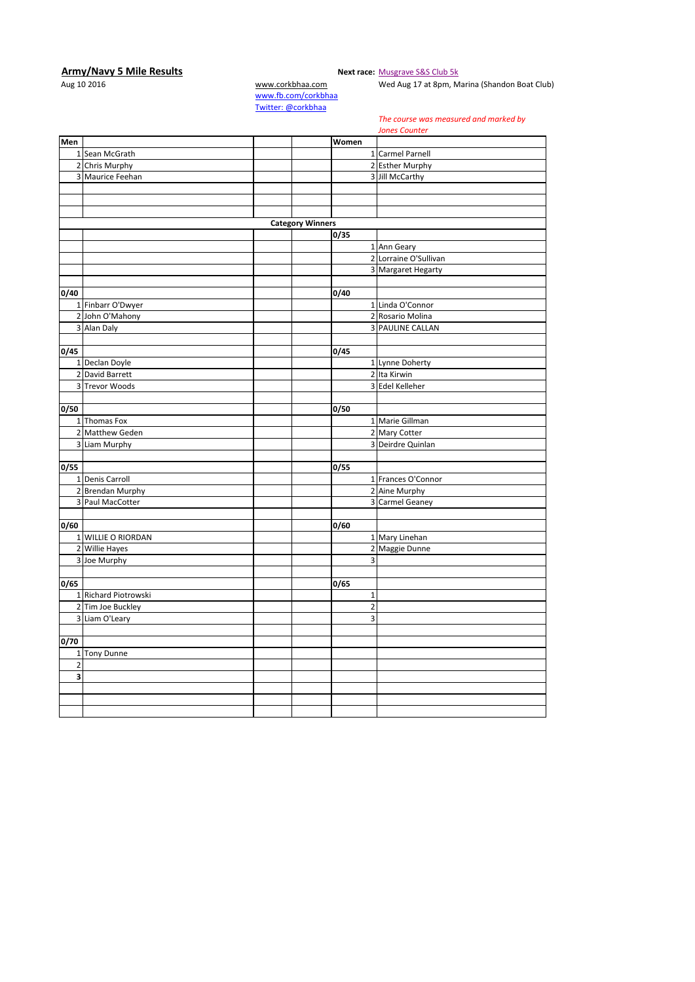## **Army/Navy 5 Mile Results**<br>Aug 10 2016 **Next race:** [Musgrave S&S Club 5k](http://corkbhaa.com/races/musgrave/)<br>Wed Aug 17 at 8pm, M

[www.corkbhaa.com](http://www.corkbhaa.com/) Wed Aug 17 at 8pm, Marina (Shandon Boat Club)

[www.fb.com/corkbhaa](http://www.fb.com/corkbhaa) [Twitter: @corkbhaa](https://twitter.com/corkbhaa)

*The course was measured and marked by* 

|                |                      |                         |                         | <b>Jones Counter</b>    |
|----------------|----------------------|-------------------------|-------------------------|-------------------------|
| Men            |                      |                         | Women                   |                         |
|                | 1 Sean McGrath       |                         |                         | 1 Carmel Parnell        |
|                | 2 Chris Murphy       |                         |                         | 2 Esther Murphy         |
|                | 3 Maurice Feehan     |                         |                         | 3 Jill McCarthy         |
|                |                      |                         |                         |                         |
|                |                      |                         |                         |                         |
|                |                      |                         |                         |                         |
|                |                      | <b>Category Winners</b> |                         |                         |
|                |                      |                         | 0/35                    |                         |
|                |                      |                         |                         | 1 Ann Geary             |
|                |                      |                         |                         | 2 Lorraine O'Sullivan   |
|                |                      |                         |                         | 3 Margaret Hegarty      |
|                |                      |                         |                         |                         |
| 0/40           |                      |                         | 0/40                    |                         |
|                | 1 Finbarr O'Dwyer    |                         |                         | 1 Linda O'Connor        |
|                | 2 John O'Mahony      |                         |                         | 2 Rosario Molina        |
|                | 3 Alan Daly          |                         |                         | <b>3 PAULINE CALLAN</b> |
|                |                      |                         |                         |                         |
| 0/45           |                      |                         | 0/45                    |                         |
|                | 1 Declan Doyle       |                         |                         | 1 Lynne Doherty         |
|                | 2 David Barrett      |                         |                         | 2 Ita Kirwin            |
|                | 3 Trevor Woods       |                         |                         | 3 Edel Kelleher         |
|                |                      |                         |                         |                         |
| 0/50           |                      |                         | 0/50                    |                         |
|                | 1 Thomas Fox         |                         |                         | 1 Marie Gillman         |
|                | 2 Matthew Geden      |                         |                         | 2 Mary Cotter           |
|                | 3 Liam Murphy        |                         |                         | 3 Deirdre Quinlan       |
|                |                      |                         |                         |                         |
| 0/55           |                      |                         | 0/55                    |                         |
|                | 1 Denis Carroll      |                         |                         | 1 Frances O'Connor      |
|                | 2 Brendan Murphy     |                         |                         | 2 Aine Murphy           |
|                | 3 Paul MacCotter     |                         |                         | 3 Carmel Geaney         |
|                |                      |                         |                         |                         |
| 0/60           |                      |                         | 0/60                    |                         |
|                | 1 WILLIE O RIORDAN   |                         |                         | 1 Mary Linehan          |
|                | 2 Willie Hayes       |                         |                         | 2 Maggie Dunne          |
|                | 3 Joe Murphy         |                         | 3                       |                         |
|                |                      |                         |                         |                         |
| 0/65           |                      |                         | 0/65                    |                         |
|                | 1 Richard Piotrowski |                         | $\mathbf 1$             |                         |
|                | 2 Tim Joe Buckley    |                         | $\overline{2}$          |                         |
|                | 3 Liam O'Leary       |                         | $\overline{\mathbf{3}}$ |                         |
|                |                      |                         |                         |                         |
| 0/70           |                      |                         |                         |                         |
|                | 1 Tony Dunne         |                         |                         |                         |
| $\overline{2}$ |                      |                         |                         |                         |
| 3              |                      |                         |                         |                         |
|                |                      |                         |                         |                         |
|                |                      |                         |                         |                         |
|                |                      |                         |                         |                         |
|                |                      |                         |                         |                         |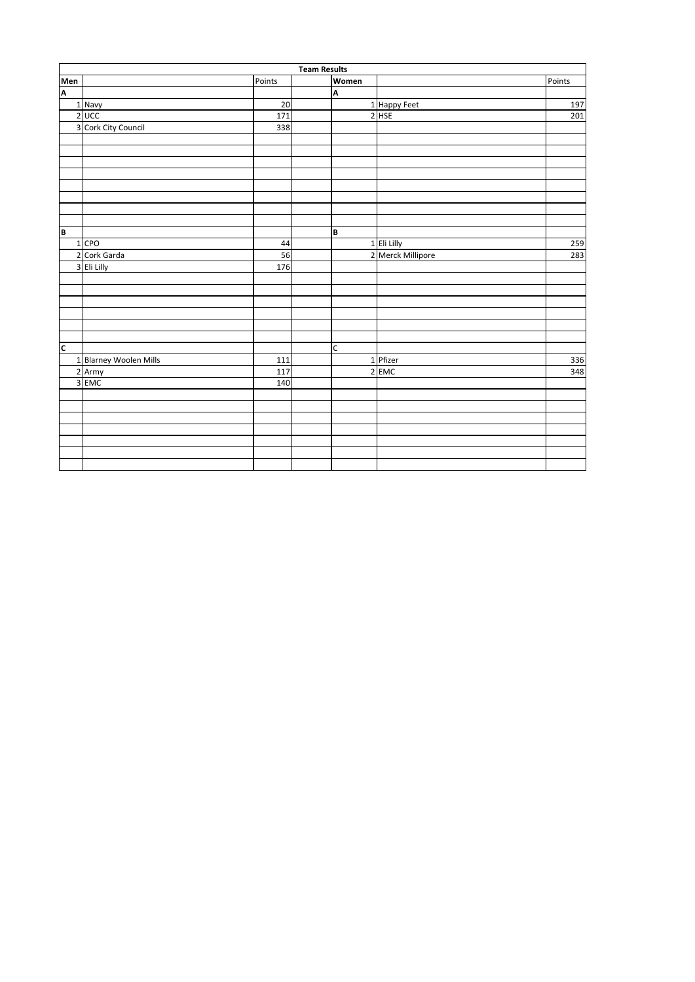|                | <b>Team Results</b>    |        |  |       |                   |        |  |  |  |
|----------------|------------------------|--------|--|-------|-------------------|--------|--|--|--|
| Men<br>A       |                        | Points |  | Women |                   | Points |  |  |  |
|                |                        |        |  | A     |                   |        |  |  |  |
|                | 1 Navy                 | 20     |  |       | 1 Happy Feet      | 197    |  |  |  |
|                | $2$ UCC                | 171    |  |       | $2$ HSE           | 201    |  |  |  |
|                | 3 Cork City Council    | 338    |  |       |                   |        |  |  |  |
|                |                        |        |  |       |                   |        |  |  |  |
|                |                        |        |  |       |                   |        |  |  |  |
|                |                        |        |  |       |                   |        |  |  |  |
|                |                        |        |  |       |                   |        |  |  |  |
|                |                        |        |  |       |                   |        |  |  |  |
|                |                        |        |  |       |                   |        |  |  |  |
|                |                        |        |  |       |                   |        |  |  |  |
|                |                        |        |  |       |                   |        |  |  |  |
| $\overline{B}$ |                        |        |  | B     |                   |        |  |  |  |
|                | $1$ CPO                | 44     |  |       | 1 Eli Lilly       | 259    |  |  |  |
|                | 2 Cork Garda           | 56     |  |       | 2 Merck Millipore | 283    |  |  |  |
|                | 3 Eli Lilly            | 176    |  |       |                   |        |  |  |  |
|                |                        |        |  |       |                   |        |  |  |  |
|                |                        |        |  |       |                   |        |  |  |  |
|                |                        |        |  |       |                   |        |  |  |  |
|                |                        |        |  |       |                   |        |  |  |  |
|                |                        |        |  |       |                   |        |  |  |  |
|                |                        |        |  |       |                   |        |  |  |  |
| $\overline{c}$ |                        |        |  | C     |                   |        |  |  |  |
|                | 1 Blarney Woolen Mills | 111    |  |       | 1 Pfizer          | 336    |  |  |  |
|                | 2 Army                 | 117    |  |       | 2 EMC             | 348    |  |  |  |
|                | 3 EMC                  | 140    |  |       |                   |        |  |  |  |
|                |                        |        |  |       |                   |        |  |  |  |
|                |                        |        |  |       |                   |        |  |  |  |
|                |                        |        |  |       |                   |        |  |  |  |
|                |                        |        |  |       |                   |        |  |  |  |
|                |                        |        |  |       |                   |        |  |  |  |
|                |                        |        |  |       |                   |        |  |  |  |
|                |                        |        |  |       |                   |        |  |  |  |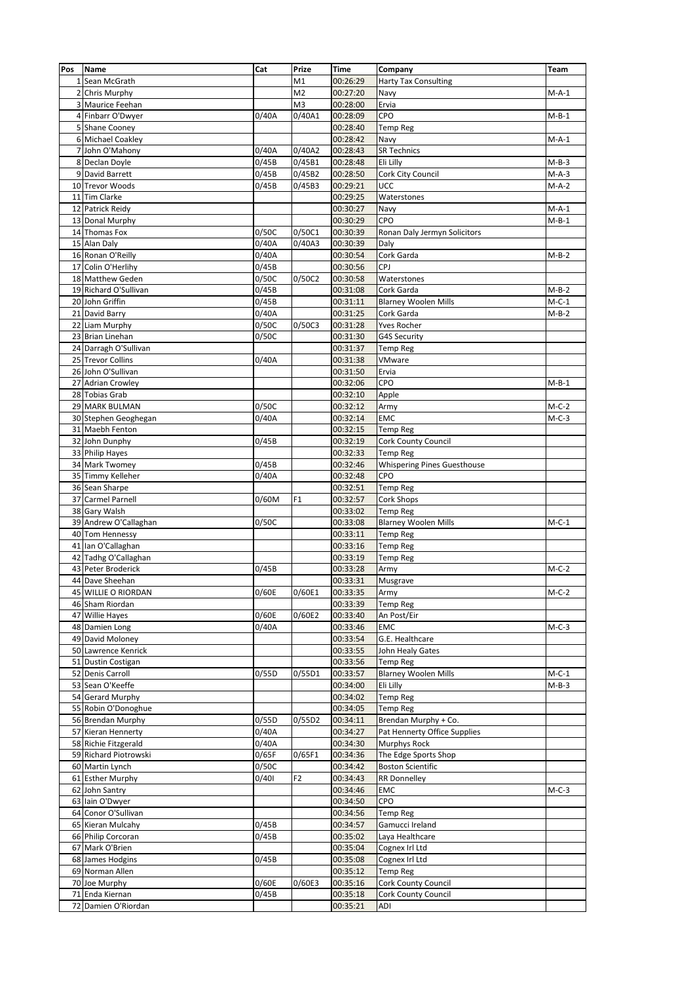| Pos | <b>Name</b>           | Cat   | Prize                | <b>Time</b> | Company                            | Team    |
|-----|-----------------------|-------|----------------------|-------------|------------------------------------|---------|
|     | 1 Sean McGrath        |       | M1                   | 00:26:29    | <b>Harty Tax Consulting</b>        |         |
|     | 2 Chris Murphy        |       | M <sub>2</sub>       | 00:27:20    | Navy                               | $M-A-1$ |
|     | 3 Maurice Feehan      |       | M <sub>3</sub>       | 00:28:00    | Ervia                              |         |
|     | 4 Finbarr O'Dwyer     | 0/40A | $\frac{1}{0}$ /40A1  | 00:28:09    | CPO                                | $M-B-1$ |
|     | 5 Shane Cooney        |       |                      | 00:28:40    | <b>Temp Reg</b>                    |         |
|     | 6 Michael Coakley     |       |                      | 00:28:42    | Navy                               | $M-A-1$ |
|     | 7 John O'Mahony       | 0/40A | 0/40A2               | 00:28:43    | <b>SR Technics</b>                 |         |
|     | 8 Declan Doyle        | 0/45B | 0/45B1               | 00:28:48    | Eli Lilly                          | $M-B-3$ |
|     | 9 David Barrett       | 0/45B | 0/45B2               | 00:28:50    | Cork City Council                  | $M-A-3$ |
|     | 10 Trevor Woods       | 0/45B | 0/45B3               | 00:29:21    | UCC                                | $M-A-2$ |
|     | 11 Tim Clarke         |       |                      | 00:29:25    | Waterstones                        |         |
|     | 12 Patrick Reidy      |       |                      | 00:30:27    | Navy                               | $M-A-1$ |
|     | 13 Donal Murphy       |       |                      | 00:30:29    | CPO                                | $M-B-1$ |
|     | 14 Thomas Fox         | 0/50C | 0/50C1               | 00:30:39    | Ronan Daly Jermyn Solicitors       |         |
|     | 15 Alan Daly          | 0/40A | $\overline{0}/40$ A3 | 00:30:39    | Daly                               |         |
|     | 16 Ronan O'Reilly     | 0/40A |                      | 00:30:54    | Cork Garda                         | $M-B-2$ |
|     | 17 Colin O'Herlihy    | 0/45B |                      | 00:30:56    | CPJ                                |         |
|     | 18 Matthew Geden      | 0/50C | 0/50C2               | 00:30:58    | Waterstones                        |         |
|     | 19 Richard O'Sullivan | 0/45B |                      | 00:31:08    | Cork Garda                         | $M-B-2$ |
|     | 20 John Griffin       | 0/45B |                      | 00:31:11    | Blarney Woolen Mills               | $M-C-1$ |
|     | 21 David Barry        | 0/40A |                      | 00:31:25    | Cork Garda                         | $M-B-2$ |
|     | 22 Liam Murphy        | 0/50C | 0/50C3               | 00:31:28    | Yves Rocher                        |         |
|     | 23 Brian Linehan      | 0/50C |                      | 00:31:30    | G4S Security                       |         |
|     | 24 Darragh O'Sullivan |       |                      | 00:31:37    | <b>Temp Reg</b>                    |         |
|     | 25 Trevor Collins     | 0/40A |                      | 00:31:38    | VMware                             |         |
|     | 26 John O'Sullivan    |       |                      | 00:31:50    | Ervia                              |         |
|     | 27 Adrian Crowley     |       |                      | 00:32:06    | CPO                                | $M-B-1$ |
|     | 28 Tobias Grab        |       |                      | 00:32:10    | Apple                              |         |
|     | 29 MARK BULMAN        | 0/50C |                      | 00:32:12    | Army                               | $M-C-2$ |
|     | 30 Stephen Geoghegan  | 0/40A |                      | 00:32:14    | <b>EMC</b>                         | $M-C-3$ |
|     | 31 Maebh Fenton       |       |                      | 00:32:15    | <b>Temp Reg</b>                    |         |
|     | 32 John Dunphy        | 0/45B |                      | 00:32:19    | Cork County Council                |         |
|     | 33 Philip Hayes       |       |                      | 00:32:33    | <b>Temp Reg</b>                    |         |
|     | 34 Mark Twomey        | 0/45B |                      | 00:32:46    | <b>Whispering Pines Guesthouse</b> |         |
|     | 35 Timmy Kelleher     | 0/40A |                      | 00:32:48    | CPO                                |         |
|     | 36 Sean Sharpe        |       |                      | 00:32:51    | <b>Temp Reg</b>                    |         |
|     | 37 Carmel Parnell     | 0/60M | F1                   | 00:32:57    | Cork Shops                         |         |
|     | 38 Gary Walsh         |       |                      | 00:33:02    | <b>Temp Reg</b>                    |         |
|     | 39 Andrew O'Callaghan | 0/50C |                      | 00:33:08    | <b>Blarney Woolen Mills</b>        | $M-C-1$ |
|     | 40 Tom Hennessy       |       |                      | 00:33:11    | <b>Temp Reg</b>                    |         |
|     | 41 Ian O'Callaghan    |       |                      | 00:33:16    | <b>Temp Reg</b>                    |         |
|     | 42 Tadhg O'Callaghan  |       |                      | 00:33:19    | <b>Temp Reg</b>                    |         |
|     | 43 Peter Broderick    | 0/45B |                      | 00:33:28    | Army                               | $M-C-2$ |
|     | 44 Dave Sheehan       |       |                      | 00:33:31    | Musgrave                           |         |
|     | 45 WILLIE O RIORDAN   | 0/60E | 0/60E1               | 00:33:35    | Army                               | $M-C-2$ |
|     | 46 Sham Riordan       |       |                      | 00:33:39    | <b>Temp Reg</b>                    |         |
|     | 47 Willie Hayes       | 0/60E | 0/60E2               | 00:33:40    | An Post/Eir                        |         |
|     | 48 Damien Long        | 0/40A |                      | 00:33:46    | <b>EMC</b>                         | $M-C-3$ |
|     | 49 David Moloney      |       |                      | 00:33:54    | G.E. Healthcare                    |         |
|     | 50 Lawrence Kenrick   |       |                      | 00:33:55    | John Healy Gates                   |         |
|     | 51 Dustin Costigan    |       |                      | 00:33:56    | Temp Reg                           |         |
|     | 52 Denis Carroll      | 0/55D | 0/55D1               | 00:33:57    | <b>Blarney Woolen Mills</b>        | $M-C-1$ |
|     | 53 Sean O'Keeffe      |       |                      | 00:34:00    | Eli Lilly                          | $M-B-3$ |
|     | 54 Gerard Murphy      |       |                      | 00:34:02    | Temp Reg                           |         |
|     | 55 Robin O'Donoghue   |       |                      | 00:34:05    | <b>Temp Reg</b>                    |         |
|     | 56 Brendan Murphy     | 0/55D | 0/55D2               | 00:34:11    | Brendan Murphy + Co.               |         |
|     | 57 Kieran Hennerty    | 0/40A |                      | 00:34:27    | Pat Hennerty Office Supplies       |         |
|     | 58 Richie Fitzgerald  | 0/40A |                      | 00:34:30    | Murphys Rock                       |         |
|     | 59 Richard Piotrowski | 0/65F | 0/65F1               | 00:34:36    | The Edge Sports Shop               |         |
|     | 60 Martin Lynch       | 0/50C |                      | 00:34:42    | <b>Boston Scientific</b>           |         |
|     | 61 Esther Murphy      | 0/401 | F <sub>2</sub>       | 00:34:43    | <b>RR Donnelley</b>                |         |
|     | 62 John Santry        |       |                      | 00:34:46    | EMC                                | $M-C-3$ |
|     | 63 Iain O'Dwyer       |       |                      | 00:34:50    | CPO                                |         |
|     | 64 Conor O'Sullivan   |       |                      | 00:34:56    | <b>Temp Reg</b>                    |         |
|     | 65 Kieran Mulcahy     | 0/45B |                      | 00:34:57    | Gamucci Ireland                    |         |
|     | 66 Philip Corcoran    | 0/45B |                      | 00:35:02    | Laya Healthcare                    |         |
|     | 67 Mark O'Brien       |       |                      | 00:35:04    | Cognex Irl Ltd                     |         |
|     | 68 James Hodgins      | 0/45B |                      | 00:35:08    | Cognex Irl Ltd                     |         |
|     | 69 Norman Allen       |       |                      | 00:35:12    | <b>Temp Reg</b>                    |         |
|     | 70 Joe Murphy         | 0/60E | 0/60E3               | 00:35:16    | Cork County Council                |         |
|     | 71 Enda Kiernan       | 0/45B |                      | 00:35:18    | Cork County Council                |         |
|     | 72 Damien O'Riordan   |       |                      | 00:35:21    | ADI                                |         |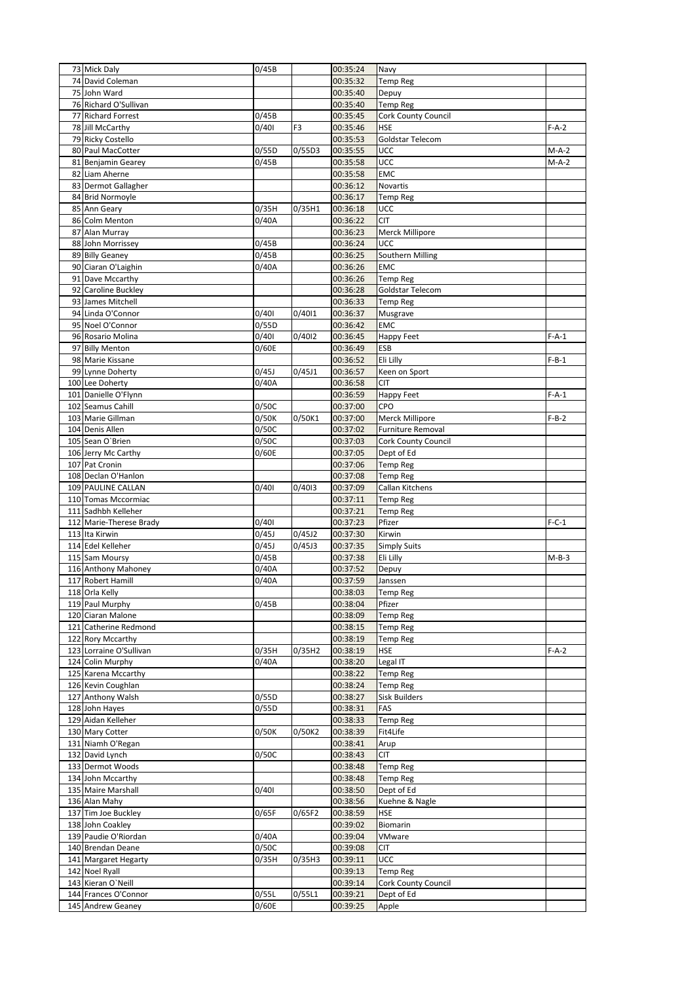| 73 Mick Daly            | 0/45B |                     | 00:35:24 | Navy                     |         |
|-------------------------|-------|---------------------|----------|--------------------------|---------|
| 74 David Coleman        |       |                     | 00:35:32 | <b>Temp Reg</b>          |         |
| 75 John Ward            |       |                     | 00:35:40 | Depuy                    |         |
| 76 Richard O'Sullivan   |       |                     | 00:35:40 | <b>Temp Reg</b>          |         |
| 77 Richard Forrest      | 0/45B |                     | 00:35:45 | Cork County Council      |         |
| 78 Jill McCarthy        | 0/401 | F3                  | 00:35:46 | <b>HSE</b>               | $F-A-2$ |
| 79 Ricky Costello       |       |                     | 00:35:53 | Goldstar Telecom         |         |
| 80 Paul MacCotter       | 0/55D | 0/55D3              | 00:35:55 | UCC                      | $M-A-2$ |
| 81 Benjamin Gearey      | 0/45B |                     | 00:35:58 | UCC                      | $M-A-2$ |
| 82 Liam Aherne          |       |                     | 00:35:58 | <b>EMC</b>               |         |
| 83 Dermot Gallagher     |       |                     | 00:36:12 | Novartis                 |         |
| 84 Brid Normoyle        |       |                     | 00:36:17 | <b>Temp Reg</b>          |         |
| 85 Ann Geary            | 0/35H | 0/35H1              | 00:36:18 | UCC                      |         |
| 86 Colm Menton          | 0/40A |                     | 00:36:22 | <b>CIT</b>               |         |
| 87 Alan Murray          |       |                     | 00:36:23 | Merck Millipore          |         |
| 88 John Morrissey       | 0/45B |                     | 00:36:24 | UCC                      |         |
| 89 Billy Geaney         | 0/45B |                     | 00:36:25 | Southern Milling         |         |
| 90 Ciaran O'Laighin     | 0/40A |                     | 00:36:26 | EMC                      |         |
| 91 Dave Mccarthy        |       |                     | 00:36:26 | <b>Temp Reg</b>          |         |
| 92 Caroline Buckley     |       |                     | 00:36:28 | Goldstar Telecom         |         |
| 93 James Mitchell       |       |                     | 00:36:33 | <b>Temp Reg</b>          |         |
| 94 Linda O'Connor       | 0/401 | 0/4011              | 00:36:37 | Musgrave                 |         |
| 95 Noel O'Connor        | 0/55D |                     | 00:36:42 | <b>EMC</b>               |         |
| 96 Rosario Molina       | 0/401 | $\frac{1}{0}$ /4012 | 00:36:45 | <b>Happy Feet</b>        | $F-A-1$ |
| 97 Billy Menton         | 0/60E |                     | 00:36:49 | <b>ESB</b>               |         |
| 98 Marie Kissane        |       |                     | 00:36:52 | Eli Lilly                | $F-B-1$ |
| 99 Lynne Doherty        | 0/45J | 0/45J1              | 00:36:57 | Keen on Sport            |         |
| 100 Lee Doherty         | 0/40A |                     | 00:36:58 | <b>CIT</b>               |         |
| 101 Danielle O'Flynn    |       |                     | 00:36:59 | <b>Happy Feet</b>        | $F-A-1$ |
| 102 Seamus Cahill       | 0/50C |                     | 00:37:00 | CPO                      |         |
| 103 Marie Gillman       | 0/50K | 0/50K1              | 00:37:00 | Merck Millipore          | $F-B-2$ |
| 104 Denis Allen         | 0/50C |                     | 00:37:02 | <b>Furniture Removal</b> |         |
| 105 Sean O'Brien        | 0/50C |                     | 00:37:03 | Cork County Council      |         |
| 106 Jerry Mc Carthy     | 0/60E |                     | 00:37:05 | Dept of Ed               |         |
| 107 Pat Cronin          |       |                     | 00:37:06 | <b>Temp Reg</b>          |         |
| 108 Declan O'Hanlon     |       |                     | 00:37:08 | <b>Temp Reg</b>          |         |
| 109 PAULINE CALLAN      | 0/401 | 0/4013              | 00:37:09 | Callan Kitchens          |         |
| 110 Tomas Mccormiac     |       |                     | 00:37:11 | <b>Temp Reg</b>          |         |
| 111 Sadhbh Kelleher     |       |                     | 00:37:21 | <b>Temp Reg</b>          |         |
| 112 Marie-Therese Brady | 0/401 |                     | 00:37:23 | Pfizer                   | $F-C-1$ |
| 113 Ita Kirwin          | 0/45J | 0/45J2              | 00:37:30 | Kirwin                   |         |
| 114 Edel Kelleher       | 0/45J | 0/45J3              | 00:37:35 | <b>Simply Suits</b>      |         |
| 115 Sam Moursy          | 0/45B |                     | 00:37:38 | Eli Lilly                | $M-B-3$ |
| 116 Anthony Mahoney     | 0/40A |                     | 00:37:52 | Depuy                    |         |
| 117 Robert Hamill       | 0/40A |                     | 00:37:59 | Janssen                  |         |
| 118 Orla Kelly          |       |                     | 00:38:03 | <b>Temp Reg</b>          |         |
| 119 Paul Murphy         | 0/45B |                     | 00:38:04 | Pfizer                   |         |
| 120 Ciaran Malone       |       |                     | 00:38:09 | <b>Temp Reg</b>          |         |
| 121 Catherine Redmond   |       |                     | 00:38:15 | <b>Temp Reg</b>          |         |
| 122 Rory Mccarthy       |       |                     | 00:38:19 | <b>Temp Reg</b>          |         |
| 123 Lorraine O'Sullivan | 0/35H | 0/35H2              | 00:38:19 | HSE                      | $F-A-2$ |
| 124 Colin Murphy        | 0/40A |                     | 00:38:20 | Legal IT                 |         |
| 125 Karena Mccarthy     |       |                     | 00:38:22 | <b>Temp Reg</b>          |         |
| 126 Kevin Coughlan      |       |                     | 00:38:24 | <b>Temp Reg</b>          |         |
| 127 Anthony Walsh       | 0/55D |                     | 00:38:27 | <b>Sisk Builders</b>     |         |
| 128 John Hayes          | 0/55D |                     | 00:38:31 | FAS                      |         |
| 129 Aidan Kelleher      |       |                     | 00:38:33 | Temp Reg                 |         |
| 130 Mary Cotter         | 0/50K | 0/50K2              | 00:38:39 | Fit4Life                 |         |
| 131 Niamh O'Regan       |       |                     | 00:38:41 | Arup                     |         |
| 132 David Lynch         | 0/50C |                     | 00:38:43 | CIT                      |         |
| 133 Dermot Woods        |       |                     | 00:38:48 | Temp Reg                 |         |
| 134 John Mccarthy       |       |                     | 00:38:48 | Temp Reg                 |         |
| 135 Maire Marshall      | 0/401 |                     | 00:38:50 | Dept of Ed               |         |
| 136 Alan Mahy           |       |                     | 00:38:56 | Kuehne & Nagle           |         |
| 137 Tim Joe Buckley     | 0/65F | 0/65F2              | 00:38:59 | <b>HSE</b>               |         |
| 138 John Coakley        |       |                     | 00:39:02 | Biomarin                 |         |
| 139 Paudie O'Riordan    | 0/40A |                     | 00:39:04 | VMware                   |         |
| 140 Brendan Deane       | 0/50C |                     | 00:39:08 | CIT                      |         |
| 141 Margaret Hegarty    | 0/35H | 0/35H3              | 00:39:11 | UCC                      |         |
| 142 Noel Ryall          |       |                     | 00:39:13 | <b>Temp Reg</b>          |         |
| 143 Kieran O'Neill      |       |                     | 00:39:14 | Cork County Council      |         |
| 144 Frances O'Connor    | 0/55L | 0/55L1              | 00:39:21 | Dept of Ed               |         |
| 145 Andrew Geaney       | 0/60E |                     | 00:39:25 | Apple                    |         |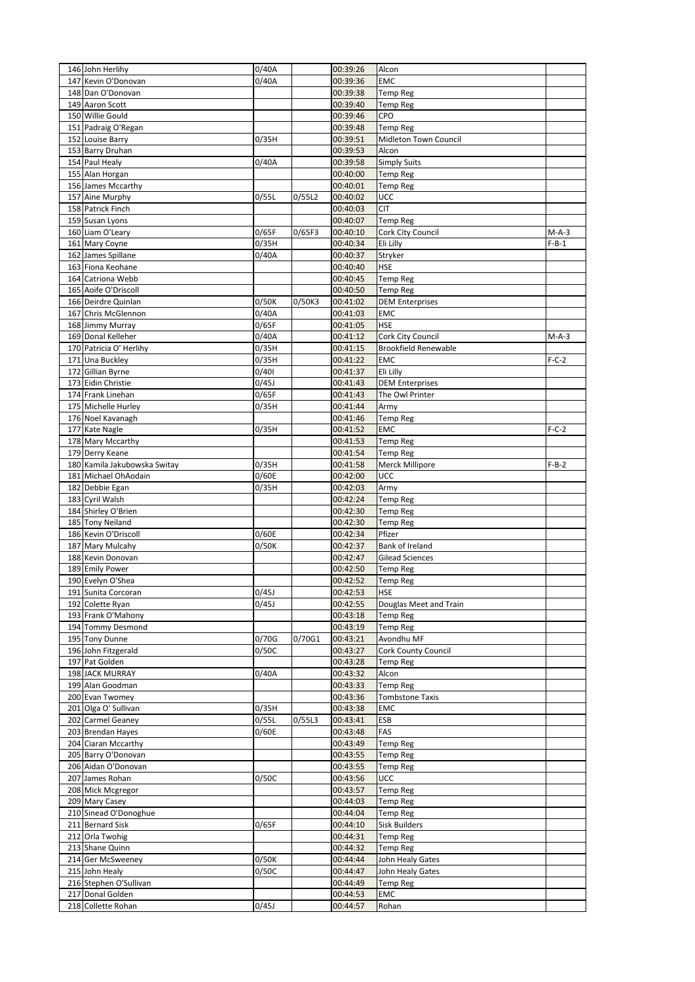| 146 John Herlihy                                | 0/40A              |        | 00:39:26             | Alcon                                     |         |
|-------------------------------------------------|--------------------|--------|----------------------|-------------------------------------------|---------|
| 147 Kevin O'Donovan                             | $\overline{0}/40A$ |        | 00:39:36             | <b>EMC</b>                                |         |
| 148 Dan O'Donovan                               |                    |        | 00:39:38             | <b>Temp Reg</b>                           |         |
| 149 Aaron Scott                                 |                    |        | 00:39:40             | <b>Temp Reg</b>                           |         |
| 150 Willie Gould                                |                    |        | 00:39:46             | CPO                                       |         |
| 151 Padraig O'Regan                             |                    |        | 00:39:48             | <b>Temp Reg</b>                           |         |
| 152 Louise Barry                                | 0/35H              |        | 00:39:51             | <b>Midleton Town Council</b>              |         |
| 153 Barry Druhan                                |                    |        | 00:39:53             | Alcon                                     |         |
| 154 Paul Healy                                  | 0/40A              |        | 00:39:58             | <b>Simply Suits</b>                       |         |
| 155 Alan Horgan                                 |                    |        | 00:40:00             | <b>Temp Reg</b>                           |         |
| 156 James Mccarthy<br>157 Aine Murphy           |                    |        | 00:40:01             | <b>Temp Reg</b>                           |         |
| 158 Patrick Finch                               | 0/55L              | 0/55L2 | 00:40:02<br>00:40:03 | UCC<br><b>CIT</b>                         |         |
| 159 Susan Lyons                                 |                    |        | 00:40:07             | <b>Temp Reg</b>                           |         |
| 160 Liam O'Leary                                | 0/65F              | 0/65F3 | 00:40:10             | Cork City Council                         | M-A-3   |
| 161 Mary Coyne                                  | 0/35H              |        | 00:40:34             | Eli Lilly                                 | $F-B-1$ |
| 162 James Spillane                              | 0/40A              |        | 00:40:37             | Stryker                                   |         |
| 163 Fiona Keohane                               |                    |        | 00:40:40             | <b>HSE</b>                                |         |
| 164 Catriona Webb                               |                    |        | 00:40:45             | <b>Temp Reg</b>                           |         |
| 165 Aoife O'Driscoll                            |                    |        | 00:40:50             | <b>Temp Reg</b>                           |         |
| 166 Deirdre Quinlan                             | 0/50K              | 0/50K3 | 00:41:02             | <b>DEM Enterprises</b>                    |         |
| 167 Chris McGlennon                             | 0/40A              |        | 00:41:03             | <b>EMC</b>                                |         |
| 168 Jimmy Murray                                | 0/65F              |        | 00:41:05             | <b>HSE</b>                                |         |
| 169 Donal Kelleher                              | 0/40A              |        | 00:41:12             | Cork City Council                         | $M-A-3$ |
| 170 Patricia O' Herlihy                         | 0/35H              |        | 00:41:15             | <b>Brookfield Renewable</b>               |         |
| 171 Una Buckley                                 | 0/35H              |        | 00:41:22             | <b>EMC</b>                                | $F-C-2$ |
| 172 Gillian Byrne                               | 0/401              |        | 00:41:37             | Eli Lilly                                 |         |
| 173 Eidin Christie                              | 0/45J              |        | 00:41:43             | <b>DEM Enterprises</b>                    |         |
| 174 Frank Linehan                               | 0/65F              |        | 00:41:43             | The Owl Printer                           |         |
| 175 Michelle Hurley                             | 0/35H              |        | 00:41:44             | Army                                      |         |
| 176 Noel Kavanagh                               |                    |        | 00:41:46             | <b>Temp Reg</b>                           |         |
| 177 Kate Nagle                                  | 0/35H              |        | 00:41:52             | <b>EMC</b>                                | $F-C-2$ |
| 178 Mary Mccarthy                               |                    |        | 00:41:53             | <b>Temp Reg</b>                           |         |
| 179 Derry Keane<br>180 Kamila Jakubowska Switay |                    |        | 00:41:54             | <b>Temp Reg</b>                           |         |
| 181 Michael OhAodain                            | 0/35H<br>0/60E     |        | 00:41:58<br>00:42:00 | Merck Millipore<br>UCC                    | $F-B-2$ |
| 182 Debbie Egan                                 | 0/35H              |        | 00:42:03             | Army                                      |         |
| 183 Cyril Walsh                                 |                    |        | 00:42:24             | <b>Temp Reg</b>                           |         |
| 184 Shirley O'Brien                             |                    |        | 00:42:30             | <b>Temp Reg</b>                           |         |
| 185 Tony Neiland                                |                    |        | 00:42:30             | Temp Reg                                  |         |
| 186 Kevin O'Driscoll                            | 0/60E              |        | 00:42:34             | Pfizer                                    |         |
| 187 Mary Mulcahy                                | 0/50K              |        | 00:42:37             | Bank of Ireland                           |         |
| 188 Kevin Donovan                               |                    |        | 00:42:47             | <b>Gilead Sciences</b>                    |         |
| 189 Emily Power                                 |                    |        | 00:42:50             | <b>Temp Reg</b>                           |         |
| 190 Evelyn O'Shea                               |                    |        | 00:42:52             | Temp Reg                                  |         |
| 191 Sunita Corcoran                             | 0/45J              |        | 00:42:53             | <b>HSE</b>                                |         |
| 192 Colette Ryan                                | 0/45J              |        | 00:42:55             | Douglas Meet and Train                    |         |
| 193 Frank O'Mahony                              |                    |        | 00:43:18             | <b>Temp Reg</b>                           |         |
| 194 Tommy Desmond                               |                    |        | 00:43:19             | <b>Temp Reg</b>                           |         |
| 195 Tony Dunne                                  | 0/70G              | 0/70G1 | 00:43:21             | Avondhu MF                                |         |
| 196 John Fitzgerald                             | 0/50C              |        | 00:43:27             | <b>Cork County Council</b>                |         |
| 197 Pat Golden                                  |                    |        | 00:43:28             | <b>Temp Reg</b>                           |         |
| 198 JACK MURRAY                                 | 0/40A              |        | 00:43:32             | Alcon                                     |         |
| 199 Alan Goodman<br>200 Evan Twomey             |                    |        | 00:43:33<br>00:43:36 | <b>Temp Reg</b><br><b>Tombstone Taxis</b> |         |
| 201 Olga O' Sullivan                            | 0/35H              |        | 00:43:38             | EMC                                       |         |
| 202 Carmel Geaney                               | 0/55L              | 0/55L3 | 00:43:41             | <b>ESB</b>                                |         |
| 203 Brendan Hayes                               | 0/60E              |        | 00:43:48             | FAS                                       |         |
| 204 Ciaran Mccarthy                             |                    |        | 00:43:49             | <b>Temp Reg</b>                           |         |
| 205 Barry O'Donovan                             |                    |        | 00:43:55             | <b>Temp Reg</b>                           |         |
| 206 Aidan O'Donovan                             |                    |        | 00:43:55             | <b>Temp Reg</b>                           |         |
| 207 James Rohan                                 | 0/50C              |        | 00:43:56             | UCC                                       |         |
| 208 Mick Mcgregor                               |                    |        | 00:43:57             | <b>Temp Reg</b>                           |         |
| 209 Mary Casey                                  |                    |        | 00:44:03             | <b>Temp Reg</b>                           |         |
| 210 Sinead O'Donoghue                           |                    |        | 00:44:04             | Temp Reg                                  |         |
| 211 Bernard Sisk                                | 0/65F              |        | 00:44:10             | <b>Sisk Builders</b>                      |         |
| 212 Orla Twohig                                 |                    |        | 00:44:31             | <b>Temp Reg</b>                           |         |
| 213 Shane Quinn                                 |                    |        | 00:44:32             | <b>Temp Reg</b>                           |         |
| 214 Ger McSweeney                               | 0/50K              |        | 00:44:44             | John Healy Gates                          |         |
| 215 John Healy                                  | 0/50C              |        | 00:44:47             | John Healy Gates                          |         |
| 216 Stephen O'Sullivan                          |                    |        | 00:44:49             | <b>Temp Reg</b>                           |         |
| 217 Donal Golden                                |                    |        | 00:44:53             | EMC                                       |         |
| 218 Collette Rohan                              | 0/45J              |        | 00:44:57             | Rohan                                     |         |